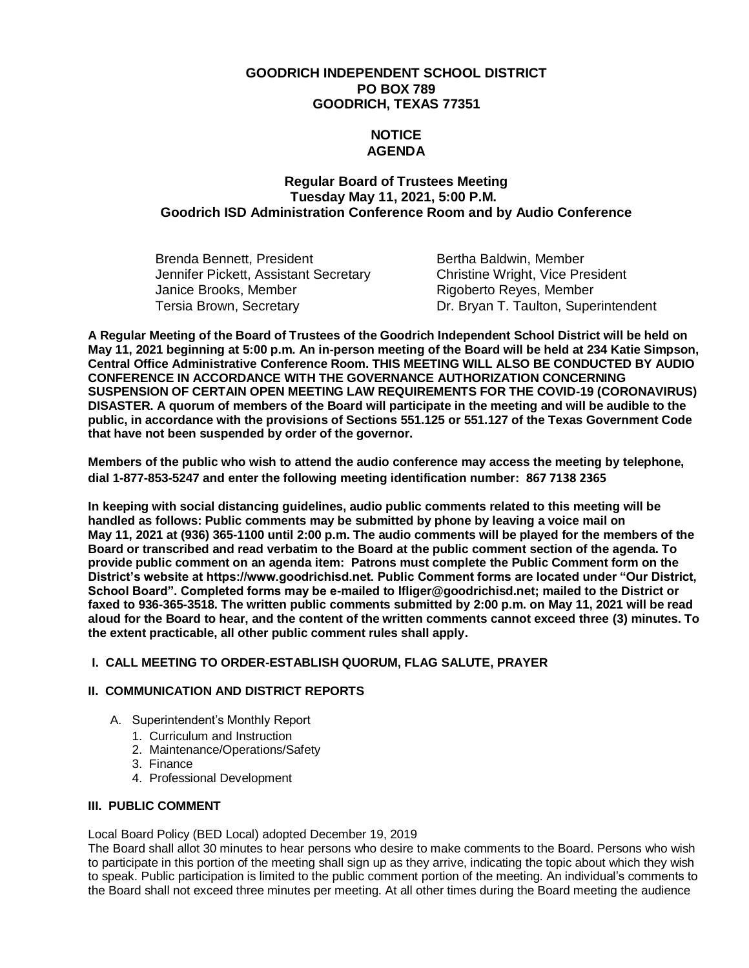# **GOODRICH INDEPENDENT SCHOOL DISTRICT PO BOX 789 GOODRICH, TEXAS 77351**

# **NOTICE AGENDA**

# **Regular Board of Trustees Meeting Tuesday May 11, 2021, 5:00 P.M. Goodrich ISD Administration Conference Room and by Audio Conference**

| Brenda Bennett, President             | Bertha Baldwin, Member                  |
|---------------------------------------|-----------------------------------------|
| Jennifer Pickett, Assistant Secretary | <b>Christine Wright, Vice President</b> |
| Janice Brooks, Member                 | Rigoberto Reyes, Member                 |
| Tersia Brown, Secretary               | Dr. Bryan T. Taulton, Superintendent    |

**A Regular Meeting of the Board of Trustees of the Goodrich Independent School District will be held on May 11, 2021 beginning at 5:00 p.m. An in-person meeting of the Board will be held at 234 Katie Simpson, Central Office Administrative Conference Room. THIS MEETING WILL ALSO BE CONDUCTED BY AUDIO CONFERENCE IN ACCORDANCE WITH THE GOVERNANCE AUTHORIZATION CONCERNING SUSPENSION OF CERTAIN OPEN MEETING LAW REQUIREMENTS FOR THE COVID-19 (CORONAVIRUS) DISASTER. A quorum of members of the Board will participate in the meeting and will be audible to the public, in accordance with the provisions of Sections 551.125 or 551.127 of the Texas Government Code that have not been suspended by order of the governor.**

**Members of the public who wish to attend the audio conference may access the meeting by telephone, dial 1-877-853-5247 and enter the following meeting identification number: 867 7138 2365**

**In keeping with social distancing guidelines, audio public comments related to this meeting will be handled as follows: Public comments may be submitted by phone by leaving a voice mail on May 11, 2021 at (936) 365-1100 until 2:00 p.m. The audio comments will be played for the members of the Board or transcribed and read verbatim to the Board at the public comment section of the agenda. To provide public comment on an agenda item: Patrons must complete the Public Comment form on the District's website at https://www.goodrichisd.net. Public Comment forms are located under "Our District, School Board". Completed forms may be e-mailed to lfliger@goodrichisd.net; mailed to the District or faxed to 936-365-3518. The written public comments submitted by 2:00 p.m. on May 11, 2021 will be read aloud for the Board to hear, and the content of the written comments cannot exceed three (3) minutes. To the extent practicable, all other public comment rules shall apply.**

## **I. CALL MEETING TO ORDER-ESTABLISH QUORUM, FLAG SALUTE, PRAYER**

## **II. COMMUNICATION AND DISTRICT REPORTS**

- A. Superintendent's Monthly Report
	- 1. Curriculum and Instruction
	- 2. Maintenance/Operations/Safety
	- 3. Finance
	- 4. Professional Development

## **III. PUBLIC COMMENT**

Local Board Policy (BED Local) adopted December 19, 2019

The Board shall allot 30 minutes to hear persons who desire to make comments to the Board. Persons who wish to participate in this portion of the meeting shall sign up as they arrive, indicating the topic about which they wish to speak. Public participation is limited to the public comment portion of the meeting. An individual's comments to the Board shall not exceed three minutes per meeting. At all other times during the Board meeting the audience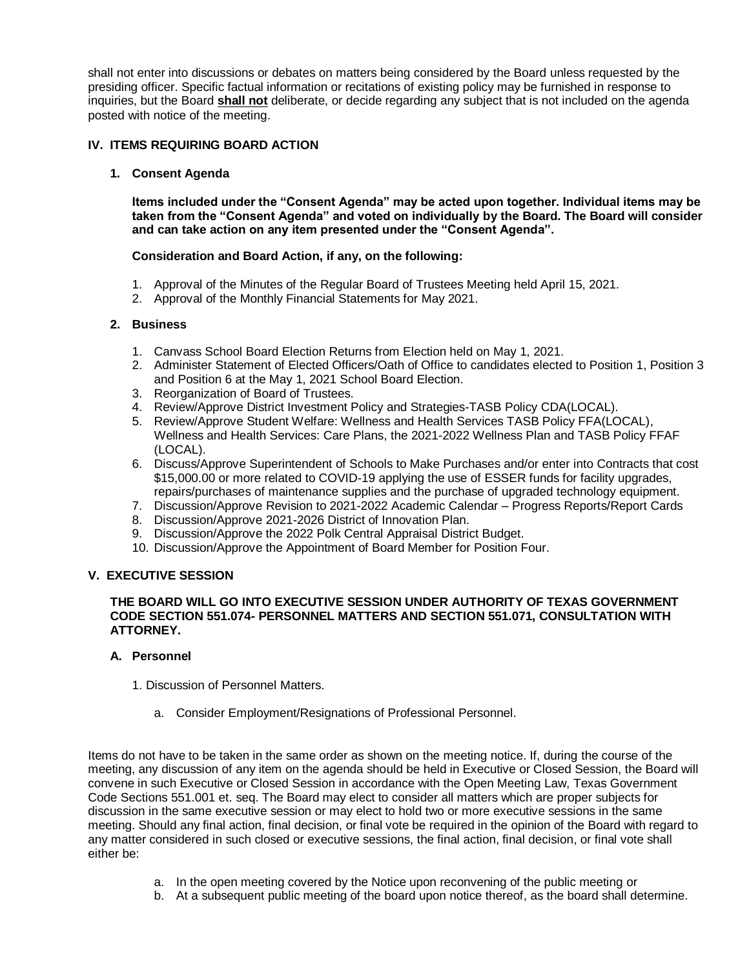shall not enter into discussions or debates on matters being considered by the Board unless requested by the presiding officer. Specific factual information or recitations of existing policy may be furnished in response to inquiries, but the Board **shall not** deliberate, or decide regarding any subject that is not included on the agenda posted with notice of the meeting.

## **IV. ITEMS REQUIRING BOARD ACTION**

## **1. Consent Agenda**

**Items included under the "Consent Agenda" may be acted upon together. Individual items may be taken from the "Consent Agenda" and voted on individually by the Board. The Board will consider and can take action on any item presented under the "Consent Agenda".**

### **Consideration and Board Action, if any, on the following:**

- 1. Approval of the Minutes of the Regular Board of Trustees Meeting held April 15, 2021.
- 2. Approval of the Monthly Financial Statements for May 2021.

### **2. Business**

- 1. Canvass School Board Election Returns from Election held on May 1, 2021.
- 2. Administer Statement of Elected Officers/Oath of Office to candidates elected to Position 1, Position 3 and Position 6 at the May 1, 2021 School Board Election.
- 3. Reorganization of Board of Trustees.
- 4. Review/Approve District Investment Policy and Strategies-TASB Policy CDA(LOCAL).
- 5. Review/Approve Student Welfare: Wellness and Health Services TASB Policy FFA(LOCAL), Wellness and Health Services: Care Plans, the 2021-2022 Wellness Plan and TASB Policy FFAF (LOCAL).
- 6. Discuss/Approve Superintendent of Schools to Make Purchases and/or enter into Contracts that cost \$15,000.00 or more related to COVID-19 applying the use of ESSER funds for facility upgrades, repairs/purchases of maintenance supplies and the purchase of upgraded technology equipment.
- 7. Discussion/Approve Revision to 2021-2022 Academic Calendar Progress Reports/Report Cards
- 8. Discussion/Approve 2021-2026 District of Innovation Plan.
- 9. Discussion/Approve the 2022 Polk Central Appraisal District Budget.
- 10. Discussion/Approve the Appointment of Board Member for Position Four.

## **V. EXECUTIVE SESSION**

#### **THE BOARD WILL GO INTO EXECUTIVE SESSION UNDER AUTHORITY OF TEXAS GOVERNMENT CODE SECTION 551.074- PERSONNEL MATTERS AND SECTION 551.071, CONSULTATION WITH ATTORNEY.**

#### **A. Personnel**

- 1. Discussion of Personnel Matters.
	- a. Consider Employment/Resignations of Professional Personnel.

Items do not have to be taken in the same order as shown on the meeting notice. If, during the course of the meeting, any discussion of any item on the agenda should be held in Executive or Closed Session, the Board will convene in such Executive or Closed Session in accordance with the Open Meeting Law, Texas Government Code Sections 551.001 et. seq. The Board may elect to consider all matters which are proper subjects for discussion in the same executive session or may elect to hold two or more executive sessions in the same meeting. Should any final action, final decision, or final vote be required in the opinion of the Board with regard to any matter considered in such closed or executive sessions, the final action, final decision, or final vote shall either be:

- a. In the open meeting covered by the Notice upon reconvening of the public meeting or
- b. At a subsequent public meeting of the board upon notice thereof, as the board shall determine.